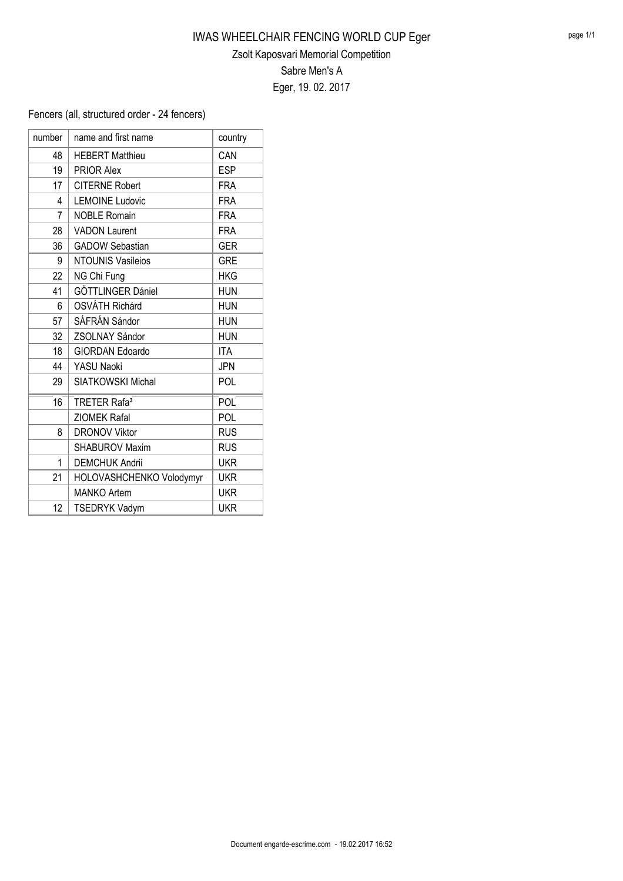## IWAS WHEELCHAIR FENCING WORLD CUP Eger Zsolt Kaposvari Memorial Competition Sabre Men's A Eger, 19. 02. 2017

Fencers (all, structured order - 24 fencers)

| number | name and first name            | country    |
|--------|--------------------------------|------------|
| 48     | <b>HEBERT Matthieu</b>         | CAN        |
| 19     | <b>PRIOR Alex</b>              | <b>ESP</b> |
| 17     | <b>CITERNE Robert</b>          | <b>FRA</b> |
| 4      | <b>LEMOINE Ludovic</b>         | <b>FRA</b> |
| 7      | <b>NOBLE Romain</b>            | <b>FRA</b> |
| 28     | <b>VADON Laurent</b>           | <b>FRA</b> |
| 36     | <b>GADOW Sebastian</b>         | <b>GER</b> |
| 9      | <b>NTOUNIS Vasileios</b>       | <b>GRE</b> |
| 22     | NG Chi Fung                    | <b>HKG</b> |
| 41     | GÖTTLINGER Dániel              | <b>HUN</b> |
| 6      | OSVÁTH Richárd                 | <b>HUN</b> |
| 57     | SÁFRÁN Sándor                  | <b>HUN</b> |
| 32     | <b>ZSOLNAY Sándor</b>          | <b>HUN</b> |
| 18     | <b>GIORDAN Edoardo</b>         | <b>ITA</b> |
| 44     | YASU Naoki                     | <b>JPN</b> |
| 29     | <b>SIATKOWSKI Michal</b>       | POL        |
| 16     | <b>TRETER Rafa<sup>3</sup></b> | POL        |
|        | <b>ZIOMEK Rafal</b>            | POL        |
| 8      | <b>DRONOV Viktor</b>           | <b>RUS</b> |
|        | <b>SHABUROV Maxim</b>          | <b>RUS</b> |
| 1      | <b>DEMCHUK Andrii</b>          | <b>UKR</b> |
| 21     | HOLOVASHCHENKO Volodymyr       | <b>UKR</b> |
|        | <b>MANKO Artem</b>             | <b>UKR</b> |
| 12     | <b>TSEDRYK Vadym</b>           | <b>UKR</b> |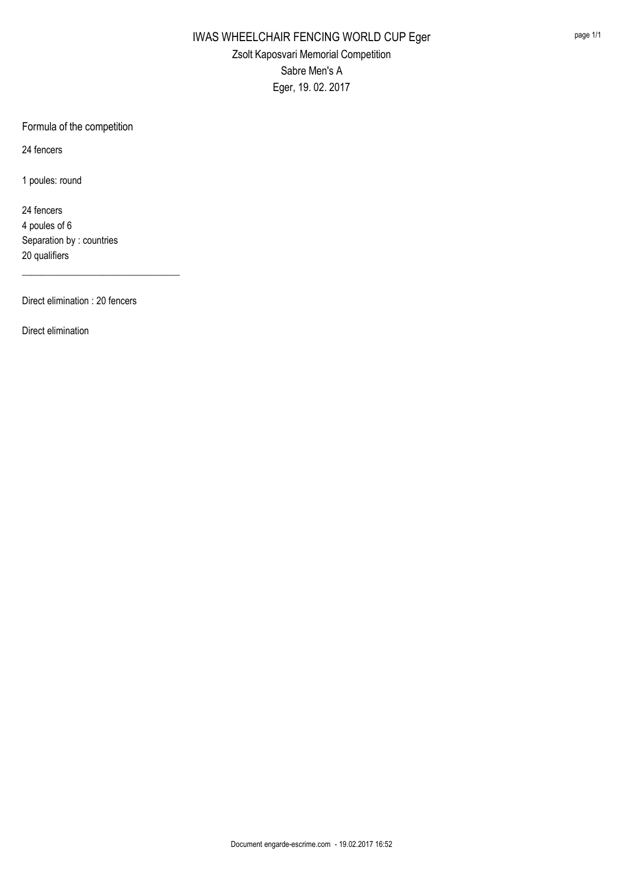Formula of the competition

24 fencers

1 poules: round

24 fencers 4 poules of 6 Separation by : countries 20 qualifiers

Direct elimination : 20 fencers

\_\_\_\_\_\_\_\_\_\_\_\_\_\_\_\_\_\_\_\_\_\_\_\_\_\_\_\_\_\_\_\_\_

Direct elimination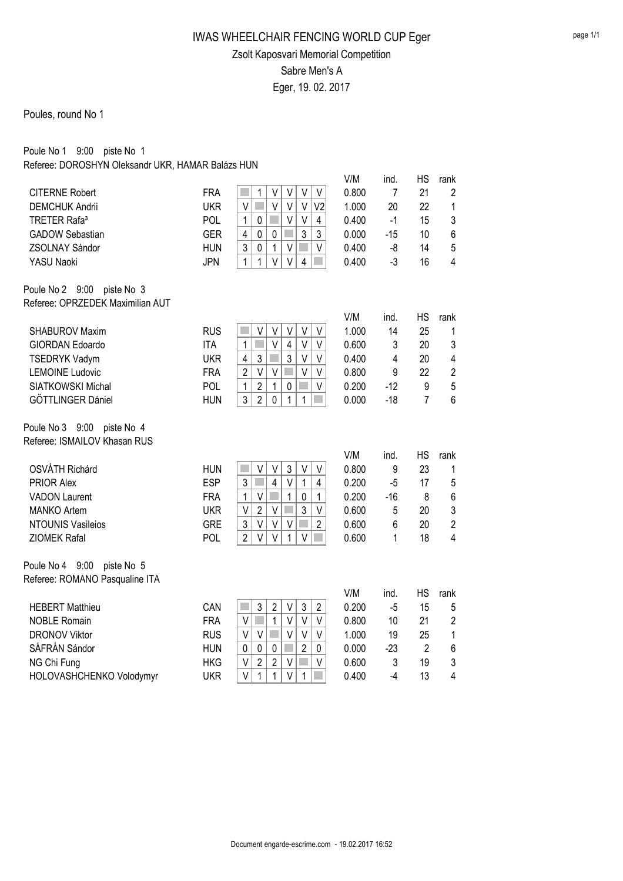## IWAS WHEELCHAIR FENCING WORLD CUP Eger Zsolt Kaposvari Memorial Competition Sabre Men's A Eger, 19. 02. 2017

#### Poules, round No 1

Poule No 1 9:00 piste No 1 Referee: DOROSHYN Oleksandr UKR, HAMAR Balázs HUN

|                                                   |                   | V<br>$\vee$<br>V                                                                                   | V/M<br>0.800   | ind.<br>7  | <b>HS</b><br>21 | rank           |
|---------------------------------------------------|-------------------|----------------------------------------------------------------------------------------------------|----------------|------------|-----------------|----------------|
| <b>CITERNE Robert</b>                             | <b>FRA</b>        | 1<br>V<br>V                                                                                        |                |            |                 | $\overline{2}$ |
| <b>DEMCHUK Andrii</b><br>TRETER Rafa <sup>3</sup> | <b>UKR</b><br>POL | V<br>$\vee$<br>V<br>V <sub>2</sub><br>$\vee$<br>V                                                  | 1.000<br>0.400 | 20<br>$-1$ | 22<br>15        | 1              |
|                                                   | <b>GER</b>        | 1<br>0<br>4<br>$\overline{4}$<br>3<br>3                                                            | 0.000          |            | 10              | 3<br>6         |
| <b>GADOW Sebastian</b>                            | <b>HUN</b>        | $\pmb{0}$<br>$\mathbf 0$<br>3<br>$\mathbf{1}$<br>$\mathbf 0$<br>$\vee$<br>V                        | 0.400          | $-15$      |                 | 5              |
| ZSOLNAY Sándor                                    |                   | $\mathbf{1}$<br>$\mathbf{1}$<br>V<br>$\vee$                                                        |                | -8<br>$-3$ | 14              | $\overline{4}$ |
| YASU Naoki                                        | <b>JPN</b>        | 4                                                                                                  | 0.400          |            | 16              |                |
| Poule No 2 9:00<br>piste No 3                     |                   |                                                                                                    |                |            |                 |                |
| Referee: OPRZEDEK Maximilian AUT                  |                   |                                                                                                    |                |            |                 |                |
|                                                   |                   |                                                                                                    | V/M            | ind.       | <b>HS</b>       | rank           |
| <b>SHABUROV Maxim</b>                             | <b>RUS</b>        | V<br>V<br>V<br>V<br>V                                                                              | 1.000          | 14         | 25              | 1              |
| GIORDAN Edoardo                                   | <b>ITA</b>        | $\vee$<br>$\mathbf 1$<br>$\overline{\mathbf{4}}$<br>V<br>V                                         | 0.600          | 3          | 20              | 3              |
| <b>TSEDRYK Vadym</b>                              | <b>UKR</b>        | 3<br>$\mathcal{L}_{\mathcal{A}}$<br>4<br>3<br>V<br>V                                               | 0.400          | 4          | 20              | 4              |
| <b>LEMOINE Ludovic</b>                            | <b>FRA</b>        | $\overline{2}$<br>$\vee$<br>V<br>V<br>V                                                            | 0.800          | 9          | 22              | $\overline{2}$ |
| SIATKOWSKI Michal                                 | POL               | 1<br>$\overline{2}$<br>1<br>$\mathbf 0$<br>V                                                       | 0.200          | $-12$      | 9               | 5              |
| GÖTTLINGER Dániel                                 | <b>HUN</b>        | 3<br>$\overline{2}$<br>$\pmb{0}$<br>1<br>1                                                         | 0.000          | $-18$      | $\overline{7}$  | 6              |
| Poule No 3 9:00<br>piste No 4                     |                   |                                                                                                    |                |            |                 |                |
| Referee: ISMAILOV Khasan RUS                      |                   |                                                                                                    |                |            |                 |                |
|                                                   |                   |                                                                                                    | V/M            | ind.       | <b>HS</b>       | rank           |
| <b>OSVÁTH Richárd</b>                             | <b>HUN</b>        | V<br>3<br>V<br>H.<br>V<br>V                                                                        | 0.800          | 9          | 23              | 1              |
| <b>PRIOR Alex</b>                                 | <b>ESP</b>        | 3<br>$\overline{4}$<br>$\vee$<br>$\mathbf{1}$<br>k.<br>4                                           | 0.200          | $-5$       | 17              | 5              |
| <b>VADON Laurent</b>                              | <b>FRA</b>        | $\mathbf{1}$<br>$\mathbf{1}$<br>$\vee$<br>$\pmb{0}$<br>$\mathcal{L}_{\mathcal{A}}$<br>$\mathbf{1}$ | 0.200          | $-16$      | 8               | 6              |
| <b>MANKO Artem</b>                                | <b>UKR</b>        | 3<br>$\vee$<br>$\overline{2}$<br>$\vee$<br>V                                                       | 0.600          | 5          | 20              | 3              |
| <b>NTOUNIS Vasileios</b>                          | <b>GRE</b>        | 3<br>V<br>$\overline{2}$<br>$\vee$<br>$\vee$                                                       | 0.600          | 6          | 20              | $\overline{2}$ |
| <b>ZIOMEK Rafal</b>                               | POL               | $\overline{2}$<br>$\vee$<br>V<br>$\mathbf{1}$<br>V                                                 | 0.600          | 1          | 18              | 4              |
|                                                   |                   |                                                                                                    |                |            |                 |                |
| Poule No 4 9:00<br>piste No 5                     |                   |                                                                                                    |                |            |                 |                |
| Referee: ROMANO Pasqualine ITA                    |                   |                                                                                                    |                |            |                 |                |
|                                                   |                   |                                                                                                    | V/M            | ind.       | <b>HS</b>       | rank           |
| <b>HEBERT Matthieu</b>                            | CAN               | $\overline{2}$<br>3<br>H.<br>3<br>$\overline{2}$<br>V                                              | 0.200          | $-5$       | 15              | 5              |
| <b>NOBLE Romain</b>                               | <b>FRA</b>        | $\mathbf{1}$<br>$\mathbb{R}^n$<br>$\vee$<br>V<br>V<br>V                                            | 0.800          | 10         | 21              | $\overline{2}$ |
| <b>DRONOV Viktor</b>                              | <b>RUS</b>        | $\vee$<br>$\vee$<br>V<br>V<br>V                                                                    | 1.000          | 19         | 25              | 1              |
| SÁFRÁN Sándor                                     | <b>HUN</b>        | $\overline{2}$<br>$\mathbf 0$<br>$\pmb{0}$<br>$\mathbf 0$<br>0                                     | 0.000          | $-23$      | $\overline{2}$  | 6              |
| NG Chi Fung                                       | <b>HKG</b>        | $\overline{2}$<br>$\overline{c}$<br>V<br>$\vee$<br>V                                               | 0.600          | 3          | 19              | 3              |
| HOLOVASHCHENKO Volodymyr                          | <b>UKR</b>        | $\vee$<br>1<br>1<br>$\vee$<br>$\mathbf 1$                                                          | 0.400          | $-4$       | 13              | 4              |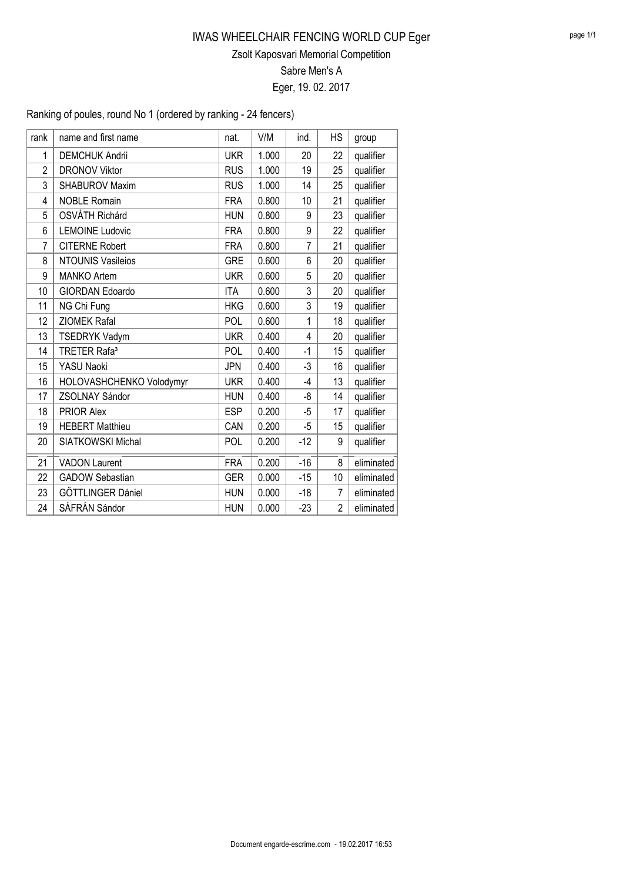### IWAS WHEELCHAIR FENCING WORLD CUP Eger Zsolt Kaposvari Memorial Competition Sabre Men's A

Eger, 19. 02. 2017

Ranking of poules, round No 1 (ordered by ranking - 24 fencers)

| rank           | name and first name            | nat.       | V/M   | ind.           | <b>HS</b>      | group      |
|----------------|--------------------------------|------------|-------|----------------|----------------|------------|
| 1              | <b>DEMCHUK Andrii</b>          | <b>UKR</b> | 1.000 | 20             | 22             | qualifier  |
| $\overline{2}$ | <b>DRONOV Viktor</b>           | <b>RUS</b> | 1.000 | 19             | 25             | qualifier  |
| 3              | <b>SHABUROV Maxim</b>          | <b>RUS</b> | 1.000 | 14             | 25             | qualifier  |
| 4              | <b>NOBLE Romain</b>            | <b>FRA</b> | 0.800 | 10             | 21             | qualifier  |
| 5              | <b>OSVÁTH Richárd</b>          | <b>HUN</b> | 0.800 | 9              | 23             | qualifier  |
| 6              | <b>LEMOINE Ludovic</b>         | <b>FRA</b> | 0.800 | 9              | 22             | qualifier  |
| $\overline{7}$ | <b>CITERNE Robert</b>          | <b>FRA</b> | 0.800 | $\overline{7}$ | 21             | qualifier  |
| 8              | <b>NTOUNIS Vasileios</b>       | <b>GRE</b> | 0.600 | 6              | 20             | qualifier  |
| 9              | <b>MANKO Artem</b>             | <b>UKR</b> | 0.600 | 5              | 20             | qualifier  |
| 10             | <b>GIORDAN Edoardo</b>         | <b>ITA</b> | 0.600 | 3              | 20             | qualifier  |
| 11             | NG Chi Fung                    | <b>HKG</b> | 0.600 | 3              | 19             | qualifier  |
| 12             | <b>ZIOMEK Rafal</b>            | POL        | 0.600 | 1              | 18             | qualifier  |
| 13             | <b>TSEDRYK Vadym</b>           | <b>UKR</b> | 0.400 | 4              | 20             | qualifier  |
| 14             | <b>TRETER Rafa<sup>3</sup></b> | POL        | 0.400 | -1             | 15             | qualifier  |
| 15             | YASU Naoki                     | <b>JPN</b> | 0.400 | $-3$           | 16             | qualifier  |
| 16             | HOLOVASHCHENKO Volodymyr       | <b>UKR</b> | 0.400 | $-4$           | 13             | qualifier  |
| 17             | ZSOLNAY Sándor                 | <b>HUN</b> | 0.400 | -8             | 14             | qualifier  |
| 18             | <b>PRIOR Alex</b>              | <b>ESP</b> | 0.200 | -5             | 17             | qualifier  |
| 19             | <b>HEBERT Matthieu</b>         | CAN        | 0.200 | -5             | 15             | qualifier  |
| 20             | <b>SIATKOWSKI Michal</b>       | POL        | 0.200 | $-12$          | 9              | qualifier  |
| 21             | <b>VADON Laurent</b>           | <b>FRA</b> | 0.200 | $-16$          | 8              | eliminated |
| 22             | <b>GADOW Sebastian</b>         | <b>GER</b> | 0.000 | $-15$          | 10             | eliminated |
| 23             | GÖTTLINGER Dániel              | <b>HUN</b> | 0.000 | $-18$          | $\overline{7}$ | eliminated |
| 24             | SÁFRÁN Sándor                  | <b>HUN</b> | 0.000 | $-23$          | $\overline{2}$ | eliminated |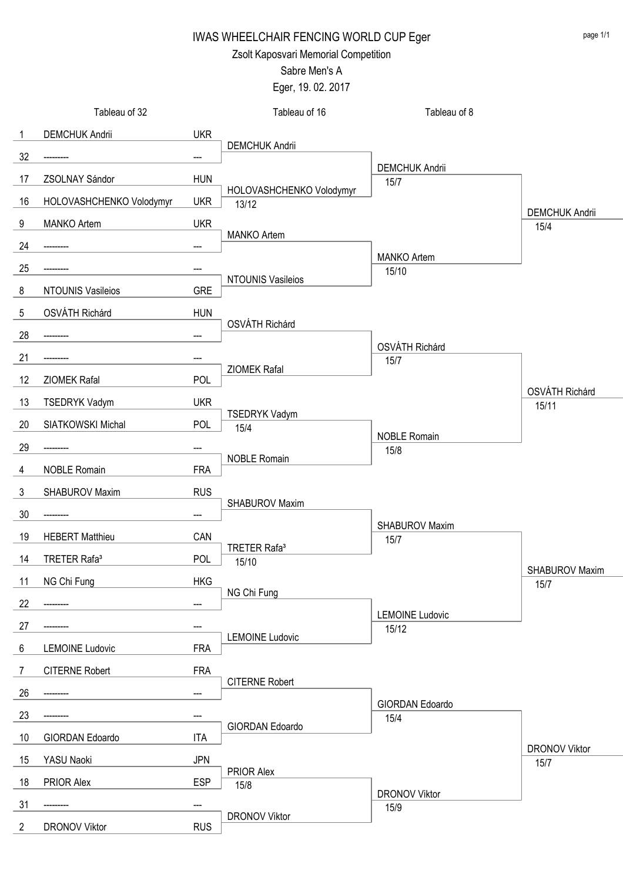Zsolt Kaposvari Memorial Competition

## Sabre Men's A

Eger, 19. 02. 2017

|                | Tableau of 32            |            | Tableau of 16                     | Tableau of 8                  |                               |
|----------------|--------------------------|------------|-----------------------------------|-------------------------------|-------------------------------|
| $\mathbf{1}$   | <b>DEMCHUK Andrii</b>    | <b>UKR</b> |                                   |                               |                               |
| 32             |                          | ---        | <b>DEMCHUK Andrii</b>             |                               |                               |
| 17             | ZSOLNAY Sándor           | <b>HUN</b> |                                   | <b>DEMCHUK Andrii</b><br>15/7 |                               |
| 16             | HOLOVASHCHENKO Volodymyr | <b>UKR</b> | HOLOVASHCHENKO Volodymyr<br>13/12 |                               |                               |
| 9              | <b>MANKO Artem</b>       | <b>UKR</b> |                                   |                               | <b>DEMCHUK Andrii</b><br>15/4 |
| 24             |                          |            | <b>MANKO Artem</b>                |                               |                               |
| 25             |                          |            |                                   | <b>MANKO Artem</b><br>15/10   |                               |
| 8              | <b>NTOUNIS Vasileios</b> | <b>GRE</b> | NTOUNIS Vasileios                 |                               |                               |
| 5              | OSVÁTH Richárd           | <b>HUN</b> |                                   |                               |                               |
| 28             |                          |            | OSVÁTH Richárd                    |                               |                               |
| 21             |                          |            |                                   | OSVÁTH Richárd                |                               |
| 12             | ZIOMEK Rafal             | <b>POL</b> | ZIOMEK Rafal                      | 15/7                          |                               |
| 13             | <b>TSEDRYK Vadym</b>     | <b>UKR</b> |                                   |                               | OSVÁTH Richárd                |
|                | SIATKOWSKI Michal        | <b>POL</b> | TSEDRYK Vadym                     |                               | 15/11                         |
| 20             |                          |            | 15/4                              | <b>NOBLE Romain</b>           |                               |
| 29             |                          |            | <b>NOBLE Romain</b>               | 15/8                          |                               |
| 4              | <b>NOBLE Romain</b>      | <b>FRA</b> |                                   |                               |                               |
| $\mathbf{3}$   | SHABUROV Maxim           | <b>RUS</b> | SHABUROV Maxim                    |                               |                               |
| 30             | -----                    | ---        |                                   | SHABUROV Maxim                |                               |
| 19             | <b>HEBERT Matthieu</b>   | CAN        | TRETER Rafa <sup>3</sup>          | 15/7                          |                               |
| 14             | TRETER Rafa <sup>3</sup> | <b>POL</b> | 15/10                             |                               | SHABUROV Maxim                |
| 11             | NG Chi Fung              | <b>HKG</b> | NG Chi Fung                       |                               | 15/7                          |
| 22             |                          | ---        |                                   | <b>LEMOINE Ludovic</b>        |                               |
| 27             |                          |            |                                   | 15/12                         |                               |
| $6\phantom{.}$ | <b>LEMOINE Ludovic</b>   | <b>FRA</b> | <b>LEMOINE Ludovic</b>            |                               |                               |
| $\overline{7}$ | <b>CITERNE Robert</b>    | <b>FRA</b> |                                   |                               |                               |
| 26             |                          |            | <b>CITERNE Robert</b>             |                               |                               |
| 23             |                          |            |                                   | GIORDAN Edoardo<br>15/4       |                               |
| 10             | GIORDAN Edoardo          | <b>ITA</b> | GIORDAN Edoardo                   |                               |                               |
| 15             | YASU Naoki               | <b>JPN</b> |                                   |                               | <b>DRONOV Viktor</b><br>15/7  |
| 18             | PRIOR Alex               | <b>ESP</b> | PRIOR Alex<br>15/8                |                               |                               |
| 31             |                          |            |                                   | <b>DRONOV Viktor</b><br>15/9  |                               |
| $\overline{2}$ | <b>DRONOV Viktor</b>     | <b>RUS</b> | <b>DRONOV Viktor</b>              |                               |                               |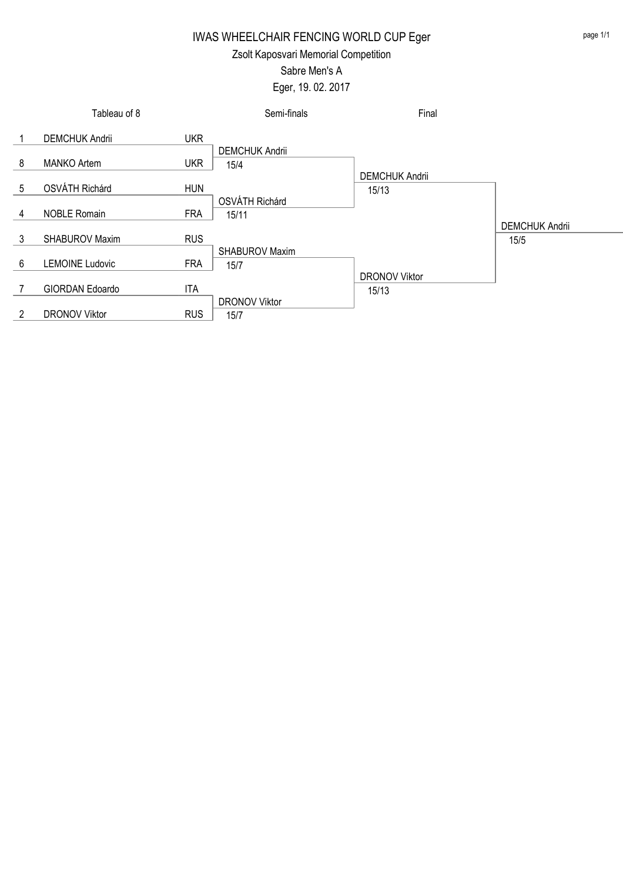Zsolt Kaposvari Memorial Competition

# Sabre Men's A

Eger, 19. 02. 2017

|   | Tableau of 8           |            | Semi-finals           | Final                 |                       |
|---|------------------------|------------|-----------------------|-----------------------|-----------------------|
|   | <b>DEMCHUK Andrii</b>  | <b>UKR</b> |                       |                       |                       |
|   |                        |            | <b>DEMCHUK Andrii</b> |                       |                       |
| 8 | <b>MANKO Artem</b>     | <b>UKR</b> | 15/4                  |                       |                       |
|   |                        |            |                       | <b>DEMCHUK Andrii</b> |                       |
| 5 | OSVÁTH Richárd         | <b>HUN</b> |                       | 15/13                 |                       |
|   |                        |            | OSVÁTH Richárd        |                       |                       |
| 4 | <b>NOBLE Romain</b>    | <b>FRA</b> | 15/11                 |                       |                       |
|   |                        |            |                       |                       | <b>DEMCHUK Andrii</b> |
| 3 | <b>SHABUROV Maxim</b>  | <b>RUS</b> |                       |                       | 15/5                  |
|   |                        |            | <b>SHABUROV Maxim</b> |                       |                       |
| 6 | <b>LEMOINE Ludovic</b> | <b>FRA</b> | 15/7                  |                       |                       |
|   |                        |            |                       | <b>DRONOV Viktor</b>  |                       |
|   | GIORDAN Edoardo        | ITA        |                       | 15/13                 |                       |
|   |                        |            | <b>DRONOV Viktor</b>  |                       |                       |
| 2 | <b>DRONOV Viktor</b>   | <b>RUS</b> | 15/7                  |                       |                       |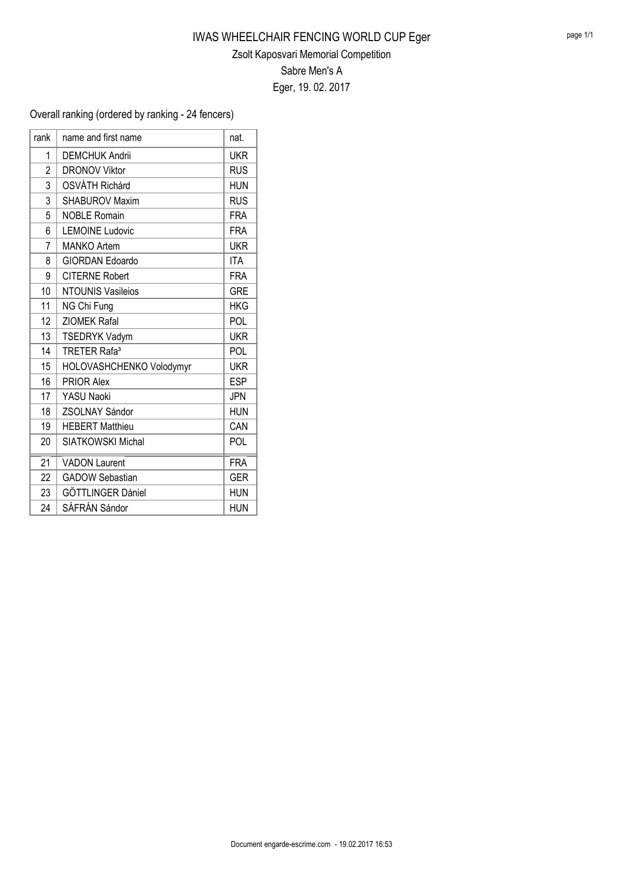### Zsolt Kaposvari Memorial Competition

Sabre Men's A

Eger, 19. 02. 2017

### Overall ranking (ordered by ranking - 24 fencers)

| rank | name and first name            | nat.       |
|------|--------------------------------|------------|
| 1    | <b>DEMCHUK Andrii</b>          | <b>UKR</b> |
| 2    | <b>DRONOV Viktor</b>           | <b>RUS</b> |
| 3    | OSVÁTH Richárd                 | <b>HUN</b> |
| 3    | <b>SHABUROV Maxim</b>          | <b>RUS</b> |
| 5    | <b>NOBLE Romain</b>            | <b>FRA</b> |
| 6    | <b>LEMOINE Ludovic</b>         | <b>FRA</b> |
| 7    | <b>MANKO Artem</b>             | <b>UKR</b> |
| 8    | <b>GIORDAN Edoardo</b>         | <b>ITA</b> |
| 9    | <b>CITERNE Robert</b>          | <b>FRA</b> |
| 10   | <b>NTOUNIS Vasileios</b>       | <b>GRE</b> |
| 11   | NG Chi Fung                    | <b>HKG</b> |
| 12   | <b>ZIOMEK Rafal</b>            | <b>POL</b> |
| 13   | <b>TSEDRYK Vadym</b>           | <b>UKR</b> |
| 14   | <b>TRETER Rafa<sup>3</sup></b> | POL        |
| 15   | HOLOVASHCHENKO Volodymyr       | <b>UKR</b> |
| 16   | <b>PRIOR Alex</b>              | <b>ESP</b> |
| 17   | <b>YASU Naoki</b>              | <b>JPN</b> |
| 18   | <b>ZSOLNAY Sándor</b>          | <b>HUN</b> |
| 19   | <b>HEBERT Matthieu</b>         | CAN        |
| 20   | SIATKOWSKI Michal              | POL        |
| 21   | <b>VADON Laurent</b>           | <b>FRA</b> |
| 22   | <b>GADOW Sebastian</b>         | <b>GER</b> |
| 23   | GÖTTLINGER Dániel              | <b>HUN</b> |
| 24   | SÁFRÁN Sándor                  | <b>HUN</b> |